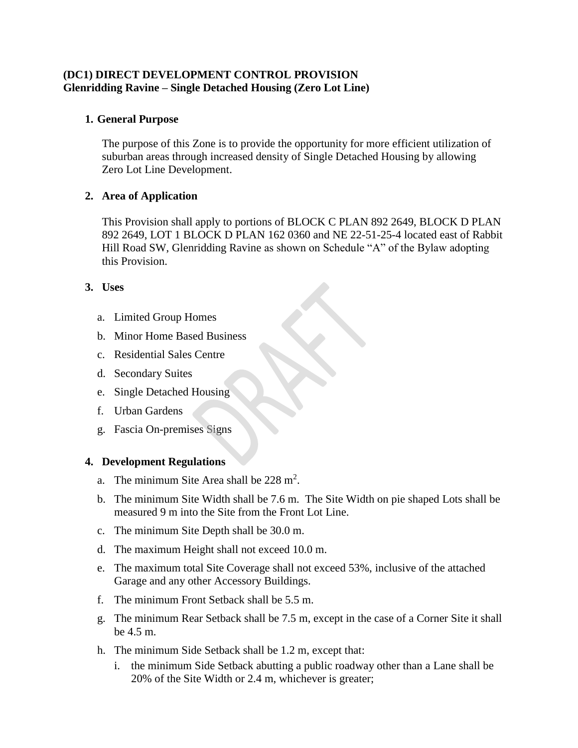# **(DC1) DIRECT DEVELOPMENT CONTROL PROVISION Glenridding Ravine – Single Detached Housing (Zero Lot Line)**

# **1. General Purpose**

The purpose of this Zone is to provide the opportunity for more efficient utilization of suburban areas through increased density of Single Detached Housing by allowing Zero Lot Line Development.

### **2. Area of Application**

This Provision shall apply to portions of BLOCK C PLAN 892 2649, BLOCK D PLAN 892 2649, LOT 1 BLOCK D PLAN 162 0360 and NE 22-51-25-4 located east of Rabbit Hill Road SW, Glenridding Ravine as shown on Schedule "A" of the Bylaw adopting this Provision.

### **3. Uses**

- a. Limited Group Homes
- b. Minor Home Based Business
- c. Residential Sales Centre
- d. Secondary Suites
- e. Single Detached Housing
- f. Urban Gardens
- g. Fascia On-premises Signs

#### **4. Development Regulations**

- a. The minimum Site Area shall be  $228 \text{ m}^2$ .
- b. The minimum Site Width shall be 7.6 m. The Site Width on pie shaped Lots shall be measured 9 m into the Site from the Front Lot Line.
- c. The minimum Site Depth shall be 30.0 m.
- d. The maximum Height shall not exceed 10.0 m.
- e. The maximum total Site Coverage shall not exceed 53%, inclusive of the attached Garage and any other Accessory Buildings.
- f. The minimum Front Setback shall be 5.5 m.
- g. The minimum Rear Setback shall be 7.5 m, except in the case of a Corner Site it shall be 4.5 m.
- h. The minimum Side Setback shall be 1.2 m, except that:
	- i. the minimum Side Setback abutting a public roadway other than a Lane shall be 20% of the Site Width or 2.4 m, whichever is greater;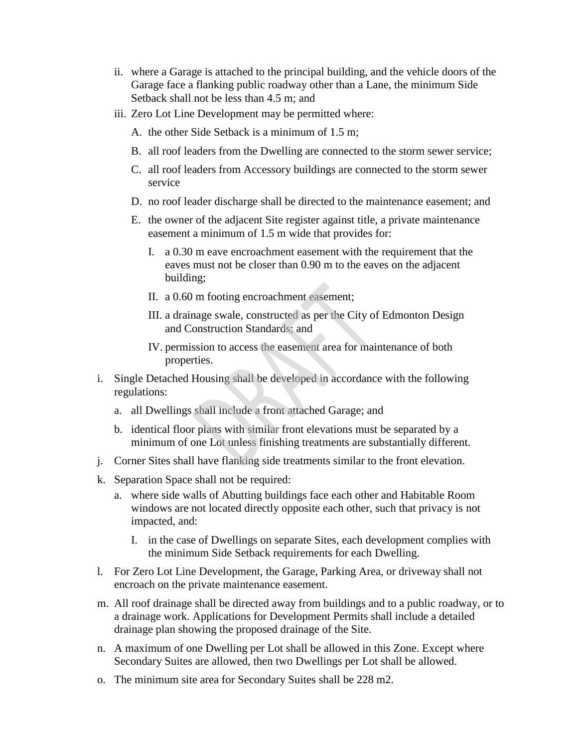- ii. where a Garage is attached to the principal building, and the vehicle doors of the Garage face a flanking public roadway other than a Lane, the minimum Side Setback shall not be less than 4.5 m; and
- iii. Zero Lot Line Development may be permitted where:
	- A. the other Side Setback is a minimum of 1.5 m;
	- B. all roof leaders from the Dwelling are connected to the storm sewer service;
	- C. all roof leaders from Accessory buildings are connected to the storm sewer service
	- D. no roof leader discharge shall be directed to the maintenance easement; and
	- E. the owner of the adjacent Site register against title, a private maintenance easement a minimum of 1.5 m wide that provides for:
		- I. a 0.30 m eave encroachment easement with the requirement that the eaves must not be closer than 0.90 m to the eaves on the adjacent building;
		- II. a 0.60 m footing encroachment easement;
		- III. a drainage swale, constructed as per the City of Edmonton Design and Construction Standards; and
		- IV. permission to access the easement area for maintenance of both properties.
- i. Single Detached Housing shall be developed in accordance with the following regulations:
	- a. all Dwellings shall include a front attached Garage; and
	- b. identical floor plans with similar front elevations must be separated by a minimum of one Lot unless finishing treatments are substantially different.
- j. Corner Sites shall have flanking side treatments similar to the front elevation.
- k. Separation Space shall not be required:
	- a. where side walls of Abutting buildings face each other and Habitable Room windows are not located directly opposite each other, such that privacy is not impacted, and:
		- I. in the case of Dwellings on separate Sites, each development complies with the minimum Side Setback requirements for each Dwelling.
- l. For Zero Lot Line Development, the Garage, Parking Area, or driveway shall not encroach on the private maintenance easement.
- m. All roof drainage shall be directed away from buildings and to a public roadway, or to a drainage work. Applications for Development Permits shall include a detailed drainage plan showing the proposed drainage of the Site.
- n. A maximum of one Dwelling per Lot shall be allowed in this Zone. Except where Secondary Suites are allowed, then two Dwellings per Lot shall be allowed.
- o. The minimum site area for Secondary Suites shall be 228 m2.